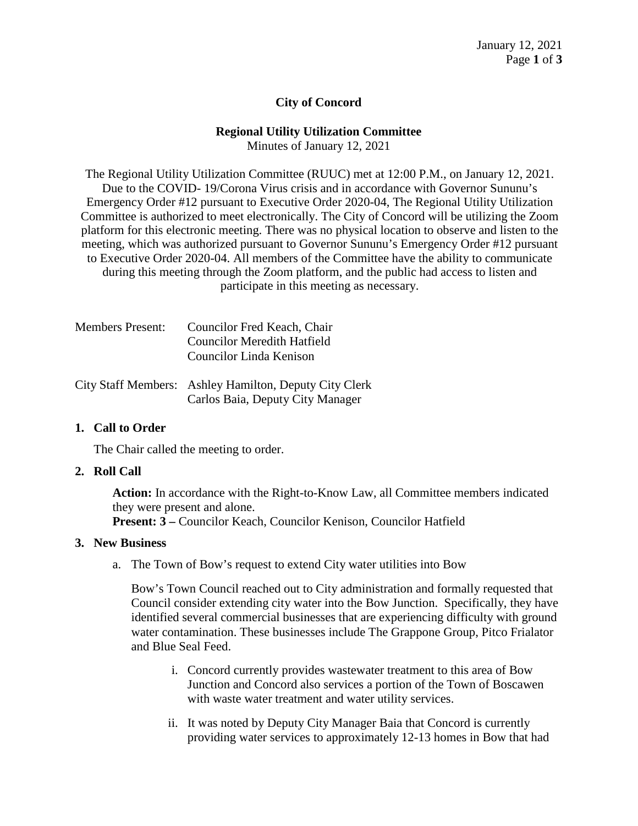# **City of Concord**

### **Regional Utility Utilization Committee**

Minutes of January 12, 2021

The Regional Utility Utilization Committee (RUUC) met at 12:00 P.M., on January 12, 2021. Due to the COVID- 19/Corona Virus crisis and in accordance with Governor Sununu's Emergency Order #12 pursuant to Executive Order 2020-04, The Regional Utility Utilization Committee is authorized to meet electronically. The City of Concord will be utilizing the Zoom platform for this electronic meeting. There was no physical location to observe and listen to the meeting, which was authorized pursuant to Governor Sununu's Emergency Order #12 pursuant to Executive Order 2020-04. All members of the Committee have the ability to communicate during this meeting through the Zoom platform, and the public had access to listen and participate in this meeting as necessary.

| <b>Members Present:</b> | Councilor Fred Keach, Chair                                                                                                                                                                                                                                    |
|-------------------------|----------------------------------------------------------------------------------------------------------------------------------------------------------------------------------------------------------------------------------------------------------------|
|                         | Councilor Meredith Hatfield                                                                                                                                                                                                                                    |
|                         | Councilor Linda Kenison                                                                                                                                                                                                                                        |
|                         | $C_{i}$ $C_{i}$ $C_{i}$ $C_{i}$ $C_{i}$ $C_{i}$ $C_{i}$ $C_{i}$ $C_{i}$ $C_{i}$ $C_{i}$ $C_{i}$ $C_{i}$ $C_{i}$ $C_{i}$ $C_{i}$ $C_{i}$ $C_{i}$ $C_{i}$ $C_{i}$ $C_{i}$ $C_{i}$ $C_{i}$ $C_{i}$ $C_{i}$ $C_{i}$ $C_{i}$ $C_{i}$ $C_{i}$ $C_{i}$ $C_{i}$ $C_{i$ |

City Staff Members: Ashley Hamilton, Deputy City Clerk Carlos Baia, Deputy City Manager

## **1. Call to Order**

The Chair called the meeting to order.

#### **2. Roll Call**

**Action:** In accordance with the Right-to-Know Law, all Committee members indicated they were present and alone.

**Present: 3 –** Councilor Keach, Councilor Kenison, Councilor Hatfield

#### **3. New Business**

a. The Town of Bow's request to extend City water utilities into Bow

Bow's Town Council reached out to City administration and formally requested that Council consider extending city water into the Bow Junction. Specifically, they have identified several commercial businesses that are experiencing difficulty with ground water contamination. These businesses include The Grappone Group, Pitco Frialator and Blue Seal Feed.

- i. Concord currently provides wastewater treatment to this area of Bow Junction and Concord also services a portion of the Town of Boscawen with waste water treatment and water utility services.
- ii. It was noted by Deputy City Manager Baia that Concord is currently providing water services to approximately 12-13 homes in Bow that had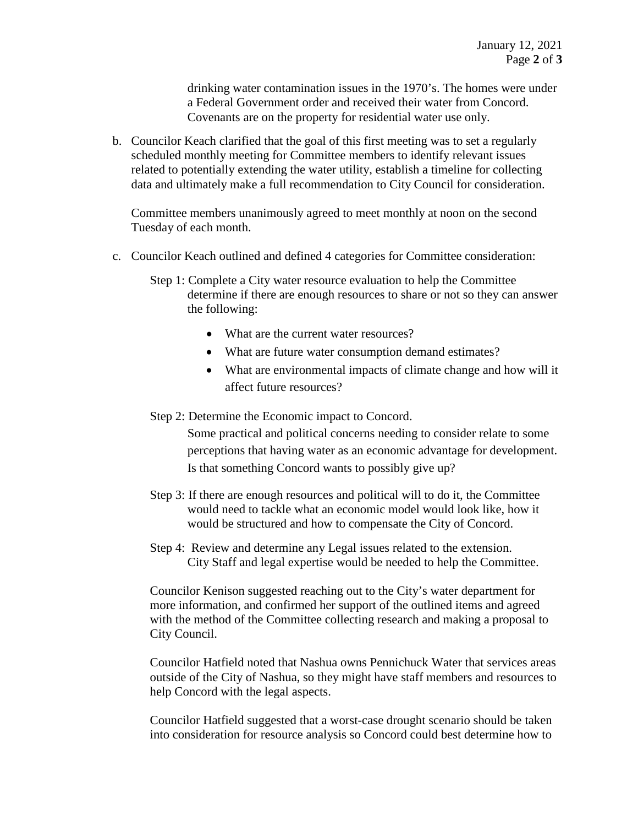drinking water contamination issues in the 1970's. The homes were under a Federal Government order and received their water from Concord. Covenants are on the property for residential water use only.

b. Councilor Keach clarified that the goal of this first meeting was to set a regularly scheduled monthly meeting for Committee members to identify relevant issues related to potentially extending the water utility, establish a timeline for collecting data and ultimately make a full recommendation to City Council for consideration.

Committee members unanimously agreed to meet monthly at noon on the second Tuesday of each month.

- c. Councilor Keach outlined and defined 4 categories for Committee consideration:
	- Step 1: Complete a City water resource evaluation to help the Committee determine if there are enough resources to share or not so they can answer the following:
		- What are the current water resources?
		- What are future water consumption demand estimates?
		- What are environmental impacts of climate change and how will it affect future resources?

### Step 2: Determine the Economic impact to Concord.

Some practical and political concerns needing to consider relate to some perceptions that having water as an economic advantage for development. Is that something Concord wants to possibly give up?

- Step 3: If there are enough resources and political will to do it, the Committee would need to tackle what an economic model would look like, how it would be structured and how to compensate the City of Concord.
- Step 4: Review and determine any Legal issues related to the extension. City Staff and legal expertise would be needed to help the Committee.

Councilor Kenison suggested reaching out to the City's water department for more information, and confirmed her support of the outlined items and agreed with the method of the Committee collecting research and making a proposal to City Council.

Councilor Hatfield noted that Nashua owns Pennichuck Water that services areas outside of the City of Nashua, so they might have staff members and resources to help Concord with the legal aspects.

Councilor Hatfield suggested that a worst-case drought scenario should be taken into consideration for resource analysis so Concord could best determine how to